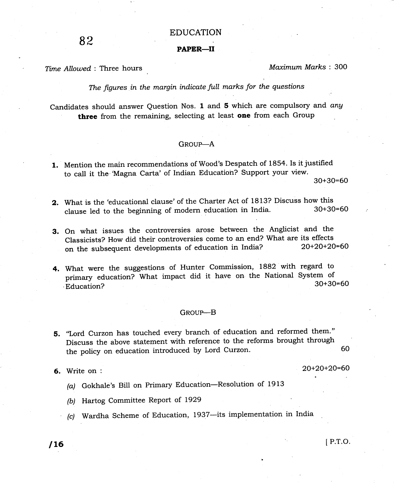## EDUCATION

## PAPER\_Ii

Time Allowed: Three hours Maximum Marks: 300

The figures in the margin indicate full marks for the questions

Candidates should answer Question Nos. 1 and 5 which are compulsory and any three from the remaining, selecting at least one from each Group

## GROUP-A

1. Mention the main recommendations of Wood's Despatch of 1854. Is it justified to call it the 'Magna Carta' of Indian Education? Support your view.

30+30=60

- 2. What is the 'educational clause' of the Charter Act of 1813? Discuss how this clause led to the beginning of modern education in India.  $30+30=60$ clause led to the beginning of modern education in India.
- 3. On what issues the controversies arose between the Anglicist and the Classicists? How did their controversies come to an end? What are its effects<br>on the subsequent developments of education in India? 20+20+20=60 on the subsequent developments of education in India?
- 4. What were the suggestions of Hunter Commission, 1882 with regard to primary education? What impact did it have on the National System of  $\frac{1}{20+30}$   $\frac{1}{20+30}$  = 60

## GROUP-B

5. "Lord Curzon has touched every branch of education and reformed them." Discuss the above statement with reference to the reforms brought through the policy on education introduced by Lord Curzon. 60

**6.** Write on :  $20+20+20=60$ 

- (a) Gokhale's Bill on Primary Education-Resolution of 1913
- (b) Hartog Committee Report of 1929
- (c) wardha Scheme of Education, 1937-its implementation in India

 $16$  IP.T.O.